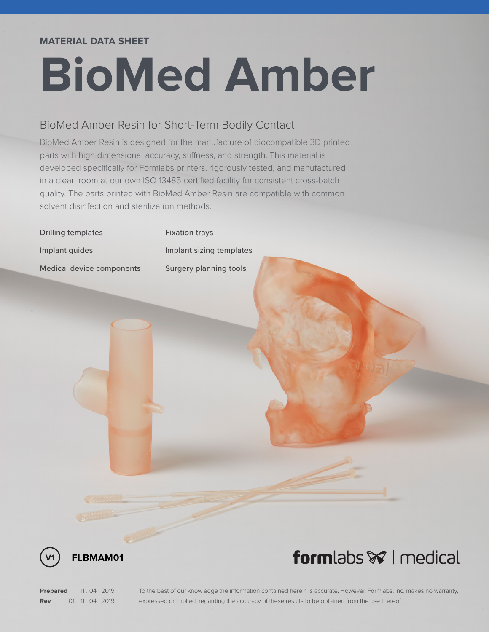### **MATERIAL DATA SHEET**

# **BioMed Amber**

## BioMed Amber Resin for Short-Term Bodily Contact

BioMed Amber Resin is designed for the manufacture of biocompatible 3D printed parts with high dimensional accuracy, stiffness, and strength. This material is developed specifically for Formlabs printers, rigorously tested, and manufactured in a clean room at our own ISO 13485 certified facility for consistent cross-batch quality. The parts printed with BioMed Amber Resin are compatible with common solvent disinfection and sterilization methods.



**V1 FLBMAM01**

## formlabs **\*** I medical

**Prepared** 11 . 04 . 2019 **Rev** 01 11 . 04 . 2019 To the best of our knowledge the information contained herein is accurate. However, Formlabs, Inc. makes no warranty, expressed or implied, regarding the accuracy of these results to be obtained from the use thereof.